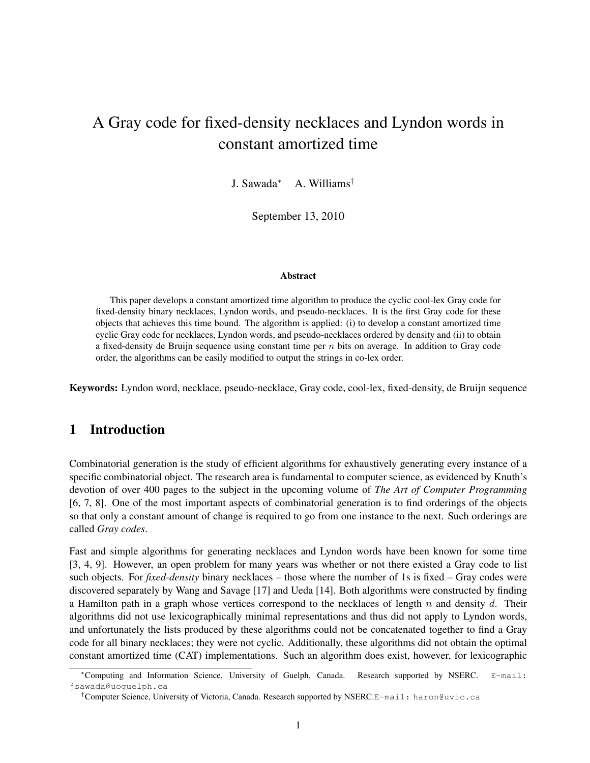# A Gray code for fixed-density necklaces and Lyndon words in constant amortized time

J. Sawada<sup>∗</sup> A. Williams†

September 13, 2010

#### Abstract

This paper develops a constant amortized time algorithm to produce the cyclic cool-lex Gray code for fixed-density binary necklaces, Lyndon words, and pseudo-necklaces. It is the first Gray code for these objects that achieves this time bound. The algorithm is applied: (i) to develop a constant amortized time cyclic Gray code for necklaces, Lyndon words, and pseudo-necklaces ordered by density and (ii) to obtain a fixed-density de Bruijn sequence using constant time per  $n$  bits on average. In addition to Gray code order, the algorithms can be easily modified to output the strings in co-lex order.

Keywords: Lyndon word, necklace, pseudo-necklace, Gray code, cool-lex, fixed-density, de Bruijn sequence

## 1 Introduction

Combinatorial generation is the study of efficient algorithms for exhaustively generating every instance of a specific combinatorial object. The research area is fundamental to computer science, as evidenced by Knuth's devotion of over 400 pages to the subject in the upcoming volume of *The Art of Computer Programming* [6, 7, 8]. One of the most important aspects of combinatorial generation is to find orderings of the objects so that only a constant amount of change is required to go from one instance to the next. Such orderings are called *Gray codes*.

Fast and simple algorithms for generating necklaces and Lyndon words have been known for some time [3, 4, 9]. However, an open problem for many years was whether or not there existed a Gray code to list such objects. For *fixed-density* binary necklaces – those where the number of 1s is fixed – Gray codes were discovered separately by Wang and Savage [17] and Ueda [14]. Both algorithms were constructed by finding a Hamilton path in a graph whose vertices correspond to the necklaces of length  $n$  and density  $d$ . Their algorithms did not use lexicographically minimal representations and thus did not apply to Lyndon words, and unfortunately the lists produced by these algorithms could not be concatenated together to find a Gray code for all binary necklaces; they were not cyclic. Additionally, these algorithms did not obtain the optimal constant amortized time (CAT) implementations. Such an algorithm does exist, however, for lexicographic

<sup>∗</sup>Computing and Information Science, University of Guelph, Canada. Research supported by NSERC. E-mail: jsawada@uoguelph.ca

<sup>&</sup>lt;sup>†</sup>Computer Science, University of Victoria, Canada. Research supported by NSERC.E-mail: haron@uvic.ca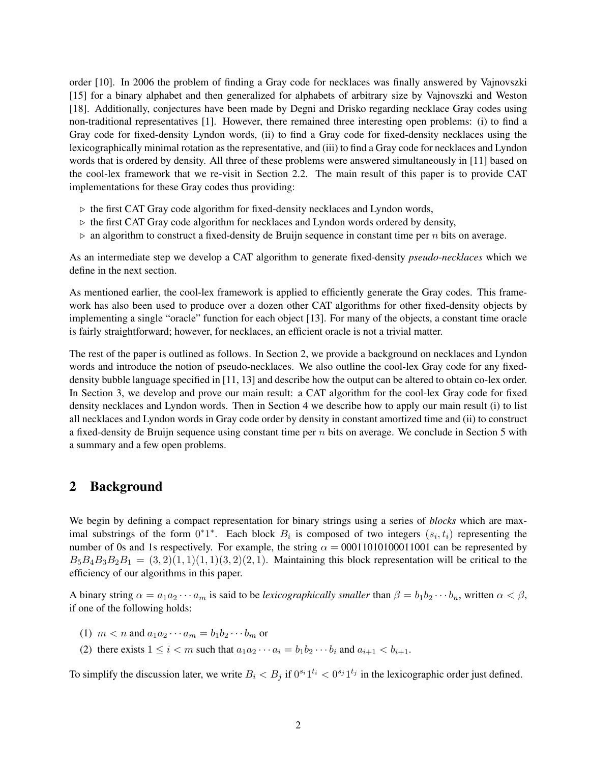order [10]. In 2006 the problem of finding a Gray code for necklaces was finally answered by Vajnovszki [15] for a binary alphabet and then generalized for alphabets of arbitrary size by Vajnovszki and Weston [18]. Additionally, conjectures have been made by Degni and Drisko regarding necklace Gray codes using non-traditional representatives [1]. However, there remained three interesting open problems: (i) to find a Gray code for fixed-density Lyndon words, (ii) to find a Gray code for fixed-density necklaces using the lexicographically minimal rotation as the representative, and (iii) to find a Gray code for necklaces and Lyndon words that is ordered by density. All three of these problems were answered simultaneously in [11] based on the cool-lex framework that we re-visit in Section 2.2. The main result of this paper is to provide CAT implementations for these Gray codes thus providing:

- $\triangleright$  the first CAT Gray code algorithm for fixed-density necklaces and Lyndon words,
- $\triangleright$  the first CAT Gray code algorithm for necklaces and Lyndon words ordered by density,
- $\triangleright$  an algorithm to construct a fixed-density de Bruijn sequence in constant time per *n* bits on average.

As an intermediate step we develop a CAT algorithm to generate fixed-density *pseudo-necklaces* which we define in the next section.

As mentioned earlier, the cool-lex framework is applied to efficiently generate the Gray codes. This framework has also been used to produce over a dozen other CAT algorithms for other fixed-density objects by implementing a single "oracle" function for each object [13]. For many of the objects, a constant time oracle is fairly straightforward; however, for necklaces, an efficient oracle is not a trivial matter.

The rest of the paper is outlined as follows. In Section 2, we provide a background on necklaces and Lyndon words and introduce the notion of pseudo-necklaces. We also outline the cool-lex Gray code for any fixeddensity bubble language specified in [11, 13] and describe how the output can be altered to obtain co-lex order. In Section 3, we develop and prove our main result: a CAT algorithm for the cool-lex Gray code for fixed density necklaces and Lyndon words. Then in Section 4 we describe how to apply our main result (i) to list all necklaces and Lyndon words in Gray code order by density in constant amortized time and (ii) to construct a fixed-density de Bruijn sequence using constant time per  $n$  bits on average. We conclude in Section 5 with a summary and a few open problems.

### 2 Background

We begin by defining a compact representation for binary strings using a series of *blocks* which are maximal substrings of the form  $0^*1^*$ . Each block  $B_i$  is composed of two integers  $(s_i, t_i)$  representing the number of 0s and 1s respectively. For example, the string  $\alpha = 00011010100011001$  can be represented by  $B_5B_4B_3B_2B_1 = (3, 2)(1, 1)(1, 1)(3, 2)(2, 1)$ . Maintaining this block representation will be critical to the efficiency of our algorithms in this paper.

A binary string  $\alpha = a_1 a_2 \cdots a_m$  is said to be *lexicographically smaller* than  $\beta = b_1 b_2 \cdots b_n$ , written  $\alpha < \beta$ , if one of the following holds:

- (1)  $m < n$  and  $a_1 a_2 \cdots a_m = b_1 b_2 \cdots b_m$  or
- (2) there exists  $1 \leq i < m$  such that  $a_1 a_2 \cdots a_i = b_1 b_2 \cdots b_i$  and  $a_{i+1} < b_{i+1}$ .

To simplify the discussion later, we write  $B_i < B_j$  if  $0^{s_i}1^{t_i} < 0^{s_j}1^{t_j}$  in the lexicographic order just defined.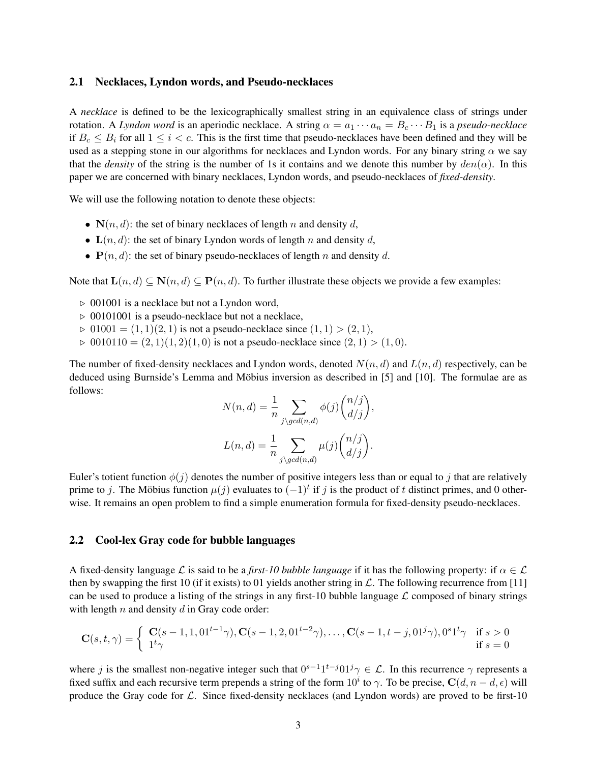#### 2.1 Necklaces, Lyndon words, and Pseudo-necklaces

A *necklace* is defined to be the lexicographically smallest string in an equivalence class of strings under rotation. A *Lyndon word* is an aperiodic necklace. A string  $\alpha = a_1 \cdots a_n = B_c \cdots B_1$  is a *pseudo-necklace* if  $B_c \leq B_i$  for all  $1 \leq i < c$ . This is the first time that pseudo-necklaces have been defined and they will be used as a stepping stone in our algorithms for necklaces and Lyndon words. For any binary string  $\alpha$  we say that the *density* of the string is the number of 1s it contains and we denote this number by  $den(\alpha)$ . In this paper we are concerned with binary necklaces, Lyndon words, and pseudo-necklaces of *fixed-density*.

We will use the following notation to denote these objects:

- $N(n, d)$ : the set of binary necklaces of length n and density d,
- $\mathbf{L}(n, d)$ : the set of binary Lyndon words of length n and density d,
- $P(n, d)$ : the set of binary pseudo-necklaces of length n and density d.

Note that  $\mathbf{L}(n, d) \subseteq \mathbf{N}(n, d) \subseteq \mathbf{P}(n, d)$ . To further illustrate these objects we provide a few examples:

- $\triangleright$  001001 is a necklace but not a Lyndon word,
- $\triangleright$  00101001 is a pseudo-necklace but not a necklace,
- $\triangleright$  01001 =  $(1, 1)(2, 1)$  is not a pseudo-necklace since  $(1, 1) > (2, 1)$ ,
- $\triangleright$  0010110 =  $(2, 1)(1, 2)(1, 0)$  is not a pseudo-necklace since  $(2, 1) > (1, 0)$ .

The number of fixed-density necklaces and Lyndon words, denoted  $N(n, d)$  and  $L(n, d)$  respectively, can be deduced using Burnside's Lemma and Möbius inversion as described in [5] and [10]. The formulae are as follows:

$$
N(n,d) = \frac{1}{n} \sum_{j \setminus gcd(n,d)} \phi(j) \binom{n/j}{d/j},
$$

$$
L(n,d) = \frac{1}{n} \sum_{j \setminus gcd(n,d)} \mu(j) \binom{n/j}{d/j}.
$$

Euler's totient function  $\phi(j)$  denotes the number of positive integers less than or equal to j that are relatively prime to j. The Möbius function  $\mu(j)$  evaluates to  $(-1)^t$  if j is the product of t distinct primes, and 0 otherwise. It remains an open problem to find a simple enumeration formula for fixed-density pseudo-necklaces.

#### 2.2 Cool-lex Gray code for bubble languages

A fixed-density language L is said to be a *first-10 bubble language* if it has the following property: if  $\alpha \in \mathcal{L}$ then by swapping the first 10 (if it exists) to 01 yields another string in  $\mathcal{L}$ . The following recurrence from [11] can be used to produce a listing of the strings in any first-10 bubble language  $\mathcal L$  composed of binary strings with length  $n$  and density  $d$  in Gray code order:

$$
\mathbf{C}(s,t,\gamma) = \begin{cases} \ \mathbf{C}(s-1,1,01^{t-1}\gamma), \mathbf{C}(s-1,2,01^{t-2}\gamma), \dots, \mathbf{C}(s-1,t-j,01^j\gamma), 0^s1^t\gamma & \text{if } s > 0\\ 1^t\gamma & \text{if } s = 0 \end{cases}
$$

where j is the smallest non-negative integer such that  $0^{s-1}1^{t-j}01^j\gamma \in \mathcal{L}$ . In this recurrence  $\gamma$  represents a fixed suffix and each recursive term prepends a string of the form  $10^i$  to  $\gamma$ . To be precise,  $\mathbf{C}(d, n-d, \epsilon)$  will produce the Gray code for  $\mathcal{L}$ . Since fixed-density necklaces (and Lyndon words) are proved to be first-10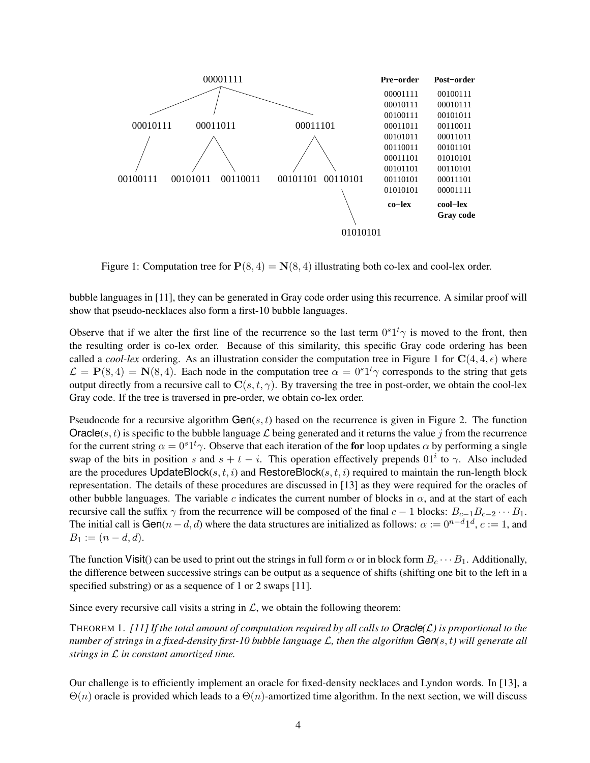

Figure 1: Computation tree for  $P(8, 4) = N(8, 4)$  illustrating both co-lex and cool-lex order.

bubble languages in [11], they can be generated in Gray code order using this recurrence. A similar proof will show that pseudo-necklaces also form a first-10 bubble languages.

Observe that if we alter the first line of the recurrence so the last term  $0<sup>s</sup>1<sup>t</sup>\gamma$  is moved to the front, then the resulting order is co-lex order. Because of this similarity, this specific Gray code ordering has been called a *cool-lex* ordering. As an illustration consider the computation tree in Figure 1 for  $C(4, 4, \epsilon)$  where  $\mathcal{L} = \mathbf{P}(8, 4) = \mathbf{N}(8, 4)$ . Each node in the computation tree  $\alpha = 0^s 1^t \gamma$  corresponds to the string that gets output directly from a recursive call to  $C(s, t, \gamma)$ . By traversing the tree in post-order, we obtain the cool-lex Gray code. If the tree is traversed in pre-order, we obtain co-lex order.

Pseudocode for a recursive algorithm  $Gen(s, t)$  based on the recurrence is given in Figure 2. The function Oracle(s, t) is specific to the bubble language L being generated and it returns the value j from the recurrence for the current string  $\alpha = 0^s 1^t \gamma$ . Observe that each iteration of the for loop updates  $\alpha$  by performing a single swap of the bits in position s and  $s + t - i$ . This operation effectively prepends 01<sup>i</sup> to  $\gamma$ . Also included are the procedures UpdateBlock(s, t, i) and RestoreBlock(s, t, i) required to maintain the run-length block representation. The details of these procedures are discussed in [13] as they were required for the oracles of other bubble languages. The variable c indicates the current number of blocks in  $\alpha$ , and at the start of each recursive call the suffix  $\gamma$  from the recurrence will be composed of the final  $c - 1$  blocks:  $B_{c-1}B_{c-2} \cdots B_1$ . The initial call is  $Gen(n-d, d)$  where the data structures are initialized as follows:  $\alpha := 0^{n-d}1^d$ ,  $c := 1$ , and  $B_1 := (n - d, d).$ 

The function Visit() can be used to print out the strings in full form  $\alpha$  or in block form  $B_c \cdots B_1$ . Additionally, the difference between successive strings can be output as a sequence of shifts (shifting one bit to the left in a specified substring) or as a sequence of 1 or 2 swaps [11].

Since every recursive call visits a string in  $\mathcal{L}$ , we obtain the following theorem:

THEOREM 1. *[11] If the total amount of computation required by all calls to Oracle(*L*) is proportional to the number of strings in a fixed-density first-10 bubble language* L*, then the algorithm Gen(*s, t*) will generate all strings in* L *in constant amortized time.*

Our challenge is to efficiently implement an oracle for fixed-density necklaces and Lyndon words. In [13], a  $\Theta(n)$  oracle is provided which leads to a  $\Theta(n)$ -amortized time algorithm. In the next section, we will discuss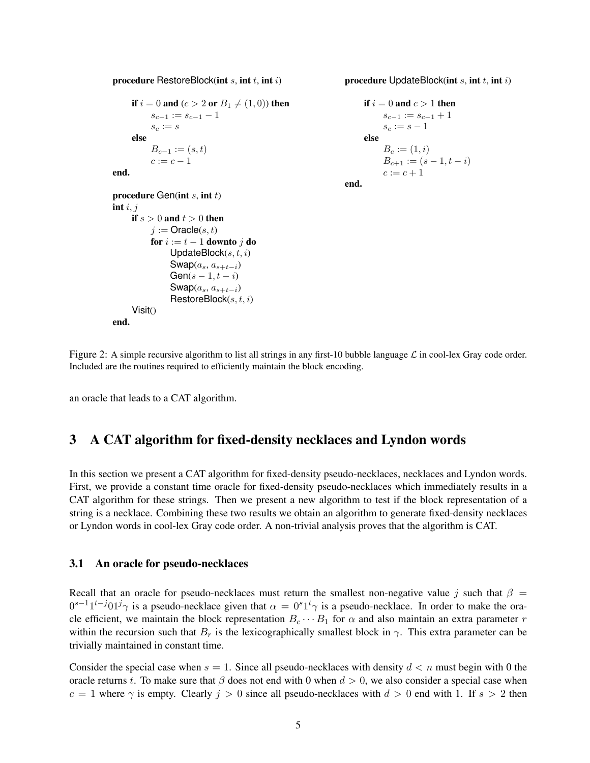procedure RestoreBlock(int  $s$ , int  $t$ , int  $i$ )

```
if i = 0 and (c > 2 or B_1 \neq (1, 0)) then
     s_{c-1} := s_{c-1} - 1s_c := selse
     B_{c-1} := (s, t)c := c - 1
```
end.

```
procedure Gen(int s, int t)
    if s > 0 and t > 0 then
         j :=Oracle(s, t)for i := t - 1 downto j do
               UpdateBlock(s, t, i)Swap(a_s, a_{s+t-i})Gen(s – 1, t - i)
               Swap(a_s, a_{s+t-i})\mathsf{RestoreBlock}(s, t, i)Visit()end.
```
procedure UpdateBlock(int  $s$ , int  $t$ , int  $i$ )

```
if i = 0 and c > 1 then
          s_{c-1} := s_{c-1} + 1s_c := s - 1else
          B_c := (1, i)B_{c+1} := (s-1, t-i)c := c + 1end.
```
int  $i, j$ 

Figure 2: A simple recursive algorithm to list all strings in any first-10 bubble language  $\mathcal L$  in cool-lex Gray code order. Included are the routines required to efficiently maintain the block encoding.

an oracle that leads to a CAT algorithm.

## 3 A CAT algorithm for fixed-density necklaces and Lyndon words

In this section we present a CAT algorithm for fixed-density pseudo-necklaces, necklaces and Lyndon words. First, we provide a constant time oracle for fixed-density pseudo-necklaces which immediately results in a CAT algorithm for these strings. Then we present a new algorithm to test if the block representation of a string is a necklace. Combining these two results we obtain an algorithm to generate fixed-density necklaces or Lyndon words in cool-lex Gray code order. A non-trivial analysis proves that the algorithm is CAT.

#### 3.1 An oracle for pseudo-necklaces

Recall that an oracle for pseudo-necklaces must return the smallest non-negative value j such that  $\beta =$  $0^{s-1}1^{t-j}01^j\gamma$  is a pseudo-necklace given that  $\alpha = 0^{s}1^t\gamma$  is a pseudo-necklace. In order to make the oracle efficient, we maintain the block representation  $B_c \cdots B_1$  for  $\alpha$  and also maintain an extra parameter r within the recursion such that  $B_r$  is the lexicographically smallest block in  $\gamma$ . This extra parameter can be trivially maintained in constant time.

Consider the special case when  $s = 1$ . Since all pseudo-necklaces with density  $d < n$  must begin with 0 the oracle returns t. To make sure that  $\beta$  does not end with 0 when  $d > 0$ , we also consider a special case when  $c = 1$  where  $\gamma$  is empty. Clearly  $j > 0$  since all pseudo-necklaces with  $d > 0$  end with 1. If  $s > 2$  then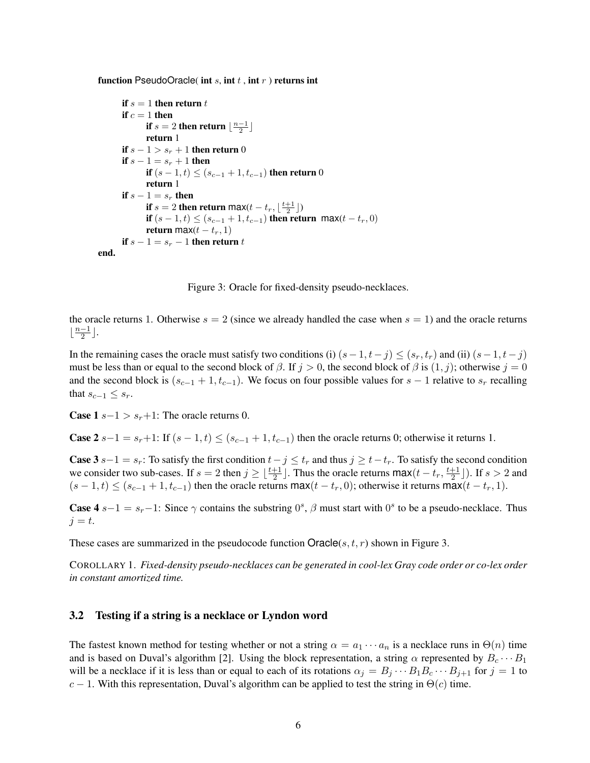function PseudoOracle( int s, int t, int  $r$ ) returns int

```
if s = 1 then return tif c = 1 then
              if s = 2 then return \lfloor \frac{n-1}{2} \rfloorreturn 1
       if s - 1 > s_r + 1 then return 0
       if s - 1 = s_r + 1 then
              if (s - 1, t) ≤ (s_{c-1} + 1, t_{c-1}) then return 0
              return 1
       if s - 1 = s_r then
              if s = 2 then return max(t - t_r, \lfloor \frac{t+1}{2} \rfloor)if (s - 1, t) ≤ (s_{c-1} + 1, t_{c-1}) then return max(t - t_r, 0)return max(t - t_r, 1)if s - 1 = s_r - 1 then return t
end.
```
Figure 3: Oracle for fixed-density pseudo-necklaces.

the oracle returns 1. Otherwise  $s = 2$  (since we already handled the case when  $s = 1$ ) and the oracle returns  $\frac{n-1}{2}$  $\frac{-1}{2}$ .

In the remaining cases the oracle must satisfy two conditions (i)  $(s-1, t-j) \le (s_r, t_r)$  and (ii)  $(s-1, t-j)$ must be less than or equal to the second block of  $\beta$ . If  $j > 0$ , the second block of  $\beta$  is  $(1, j)$ ; otherwise  $j = 0$ and the second block is  $(s_{c-1} + 1, t_{c-1})$ . We focus on four possible values for  $s - 1$  relative to  $s_r$  recalling that  $s_{c-1} \leq s_r$ .

**Case 1**  $s-1 > s_r+1$ : The oracle returns 0.

**Case 2**  $s-1 = s_r+1$ : If  $(s-1,t) \leq (s_{c-1}+1,t_{c-1})$  then the oracle returns 0; otherwise it returns 1.

**Case 3**  $s-1 = s_r$ : To satisfy the first condition  $t-j \le t_r$  and thus  $j \ge t-t_r$ . To satisfy the second condition we consider two sub-cases. If  $s = 2$  then  $j \geq \lfloor \frac{t+1}{2} \rfloor$ . Thus the oracle returns  $\max(t - t_r, \frac{t+1}{2})$  $\frac{+1}{2}$ ]). If  $s > 2$  and  $(s-1,t) \leq (s_{c-1}+1,t_{c-1})$  then the oracle returns max $(t-t_r,0)$ ; otherwise it returns max $(t-t_r,1)$ .

**Case 4**  $s-1 = s_r-1$ : Since  $\gamma$  contains the substring  $0^s$ ,  $\beta$  must start with  $0^s$  to be a pseudo-necklace. Thus  $i = t$ .

These cases are summarized in the pseudocode function  $O\text{racle}(s, t, r)$  shown in Figure 3.

COROLLARY 1. *Fixed-density pseudo-necklaces can be generated in cool-lex Gray code order or co-lex order in constant amortized time.*

#### 3.2 Testing if a string is a necklace or Lyndon word

The fastest known method for testing whether or not a string  $\alpha = a_1 \cdots a_n$  is a necklace runs in  $\Theta(n)$  time and is based on Duval's algorithm [2]. Using the block representation, a string  $\alpha$  represented by  $B_c \cdots B_1$ will be a necklace if it is less than or equal to each of its rotations  $\alpha_j = B_j \cdots B_1 B_c \cdots B_{j+1}$  for  $j = 1$  to c − 1. With this representation, Duval's algorithm can be applied to test the string in  $\Theta(c)$  time.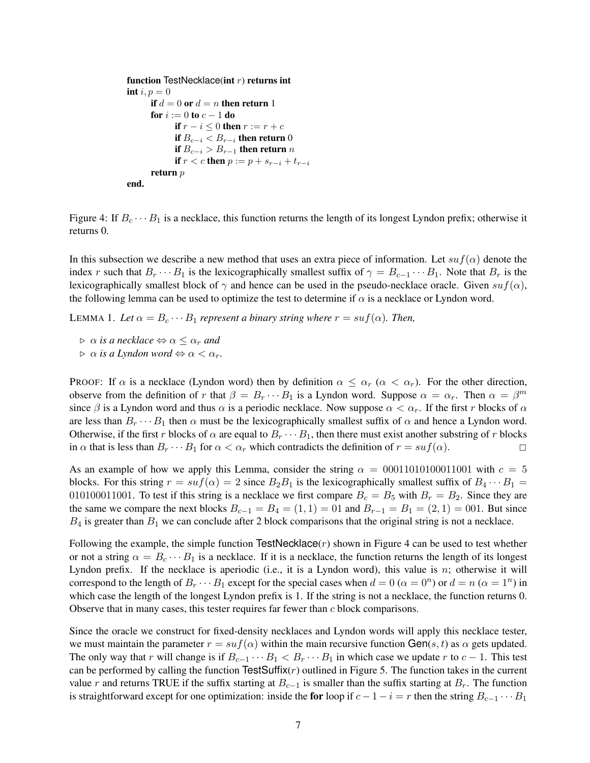```
function TestNecklace(int r) returns int
int i, p = 0if d = 0 or d = n then return 1
      for i := 0 to c - 1 do
             if r - i \leq 0 then r := r + cif B_{c-i} < B_{r-i} then return 0
             if B_{c−i} > B_{r−1} then return n
             if r < c then p := p + s_{r-i} + t_{r-i}return p
end.
```
Figure 4: If  $B_c \cdots B_1$  is a necklace, this function returns the length of its longest Lyndon prefix; otherwise it returns 0.

In this subsection we describe a new method that uses an extra piece of information. Let  $suf(\alpha)$  denote the index r such that  $B_r \cdots B_1$  is the lexicographically smallest suffix of  $\gamma = B_{c-1} \cdots B_1$ . Note that  $B_r$  is the lexicographically smallest block of  $\gamma$  and hence can be used in the pseudo-necklace oracle. Given suf( $\alpha$ ), the following lemma can be used to optimize the test to determine if  $\alpha$  is a necklace or Lyndon word.

LEMMA 1. Let  $\alpha = B_c \cdots B_1$  represent a binary string where  $r = su f(\alpha)$ . Then,

 $\triangleright$   $\alpha$  *is a necklace*  $\Leftrightarrow$   $\alpha \leq \alpha_r$  *and* 

 $\rhd \alpha$  *is a Lyndon word*  $\Leftrightarrow \alpha < \alpha_r$ .

PROOF: If  $\alpha$  is a necklace (Lyndon word) then by definition  $\alpha \leq \alpha_r$  ( $\alpha < \alpha_r$ ). For the other direction, observe from the definition of r that  $\beta = B_r \cdots B_1$  is a Lyndon word. Suppose  $\alpha = \alpha_r$ . Then  $\alpha = \beta^m$ since  $\beta$  is a Lyndon word and thus  $\alpha$  is a periodic necklace. Now suppose  $\alpha < \alpha_r$ . If the first r blocks of  $\alpha$ are less than  $B_r \cdots B_1$  then  $\alpha$  must be the lexicographically smallest suffix of  $\alpha$  and hence a Lyndon word. Otherwise, if the first r blocks of  $\alpha$  are equal to  $B_r \cdots B_1$ , then there must exist another substring of r blocks in  $\alpha$  that is less than  $B_r \cdots B_1$  for  $\alpha < \alpha_r$  which contradicts the definition of  $r = \text{suf}(\alpha)$ .

As an example of how we apply this Lemma, consider the string  $\alpha = 00011010100011001$  with  $c = 5$ blocks. For this string  $r = su f(\alpha) = 2$  since  $B_2B_1$  is the lexicographically smallest suffix of  $B_4 \cdots B_1 =$ 010100011001. To test if this string is a necklace we first compare  $B_c = B_5$  with  $B_r = B_2$ . Since they are the same we compare the next blocks  $B_{c-1} = B_4 = (1, 1) = 01$  and  $B_{r-1} = B_1 = (2, 1) = 001$ . But since  $B_4$  is greater than  $B_1$  we can conclude after 2 block comparisons that the original string is not a necklace.

Following the example, the simple function  $TestNecklace(r)$  shown in Figure 4 can be used to test whether or not a string  $\alpha = B_c \cdots B_1$  is a necklace. If it is a necklace, the function returns the length of its longest Lyndon prefix. If the necklace is aperiodic (i.e., it is a Lyndon word), this value is  $n$ ; otherwise it will correspond to the length of  $B_r \cdots B_1$  except for the special cases when  $d = 0$  ( $\alpha = 0^n$ ) or  $d = n$  ( $\alpha = 1^n$ ) in which case the length of the longest Lyndon prefix is 1. If the string is not a necklace, the function returns 0. Observe that in many cases, this tester requires far fewer than c block comparisons.

Since the oracle we construct for fixed-density necklaces and Lyndon words will apply this necklace tester, we must maintain the parameter  $r = su f(\alpha)$  within the main recursive function Gen(s, t) as  $\alpha$  gets updated. The only way that r will change is if  $B_{c-1} \cdots B_1 < B_r \cdots B_1$  in which case we update r to  $c-1$ . This test can be performed by calling the function TestSuffix $(r)$  outlined in Figure 5. The function takes in the current value r and returns TRUE if the suffix starting at  $B_{c-1}$  is smaller than the suffix starting at  $B_r$ . The function is straightforward except for one optimization: inside the for loop if  $c - 1 - i = r$  then the string  $B_{c-1} \cdots B_1$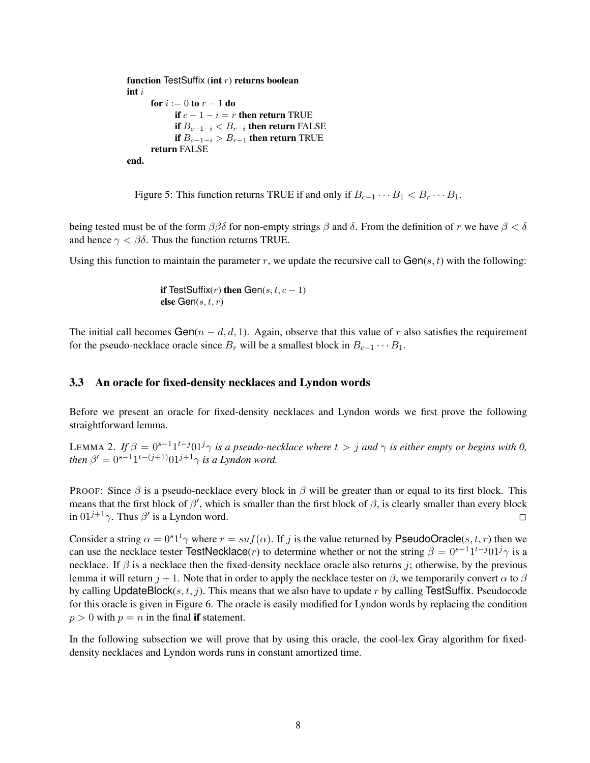```
function TestSuffix (int r) returns boolean
int i
      for i := 0 to r - 1 do
            if c - 1 - i = r then return TRUE
            if B_{c-1-i} < B_{r-i} then return FALSE
            if B_{c-1-i} > B_{r-1} then return TRUE
      return FALSE
end.
```
Figure 5: This function returns TRUE if and only if  $B_{c-1} \cdots B_1 < B_r \cdots B_1$ .

being tested must be of the form  $\beta\beta\delta$  for non-empty strings  $\beta$  and  $\delta$ . From the definition of r we have  $\beta < \delta$ and hence  $\gamma < \beta \delta$ . Thus the function returns TRUE.

Using this function to maintain the parameter r, we update the recursive call to  $Gen(s, t)$  with the following:

if TestSuffix $(r)$  then Gen $(s, t, c - 1)$ else Gen $(s, t, r)$ 

The initial call becomes Gen( $n - d, d, 1$ ). Again, observe that this value of r also satisfies the requirement for the pseudo-necklace oracle since  $B_r$  will be a smallest block in  $B_{c-1} \cdots B_1$ .

#### 3.3 An oracle for fixed-density necklaces and Lyndon words

Before we present an oracle for fixed-density necklaces and Lyndon words we first prove the following straightforward lemma.

LEMMA 2. If  $\beta = 0^{s-1}1^{t-j}01^j\gamma$  *is a pseudo-necklace where*  $t > j$  *and*  $\gamma$  *is either empty or begins with* 0, *then*  $\beta' = 0^{s-1}1^{t-(j+1)}01^{j+1}\gamma$  *is a Lyndon word.* 

PROOF: Since  $\beta$  is a pseudo-necklace every block in  $\beta$  will be greater than or equal to its first block. This means that the first block of  $\beta'$ , which is smaller than the first block of  $\beta$ , is clearly smaller than every block in  $01^{j+1}\gamma$ . Thus  $\beta'$  is a Lyndon word.

Consider a string  $\alpha = 0^{s}1^{t}\gamma$  where  $r = su f(\alpha)$ . If j is the value returned by PseudoOracle(s, t, r) then we can use the necklace tester TestNecklace(*r*) to determine whether or not the string  $\beta = 0^{s-1}1^{t-j}01^j\gamma$  is a necklace. If  $\beta$  is a necklace then the fixed-density necklace oracle also returns j; otherwise, by the previous lemma it will return  $j + 1$ . Note that in order to apply the necklace tester on  $\beta$ , we temporarily convert  $\alpha$  to  $\beta$ by calling UpdateBlock(s, t, j). This means that we also have to update r by calling TestSuffix. Pseudocode for this oracle is given in Figure 6. The oracle is easily modified for Lyndon words by replacing the condition  $p > 0$  with  $p = n$  in the final **if** statement.

In the following subsection we will prove that by using this oracle, the cool-lex Gray algorithm for fixeddensity necklaces and Lyndon words runs in constant amortized time.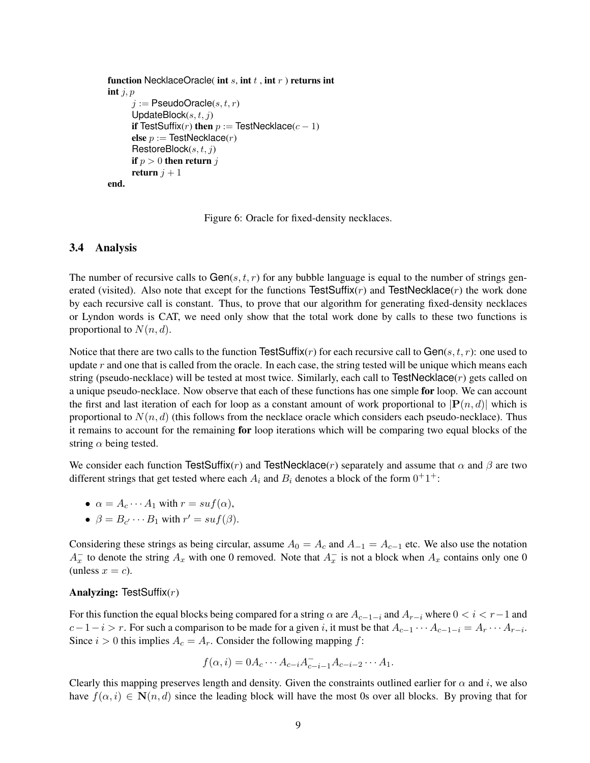```
function NecklaceOracle( int s, int t, int r) returns int
int i, pi := PseudoOracle(s, t, r)UpdateBlock(s, t, j)if TestSuffix(r) then p := TestNecklace(c - 1)
      else p :=TestNecklace(r)\mathsf{RestoreBlock}(s, t, j)if p > 0 then return j
      return j + 1end.
```
Figure 6: Oracle for fixed-density necklaces.

#### 3.4 Analysis

The number of recursive calls to  $Gen(s, t, r)$  for any bubble language is equal to the number of strings generated (visited). Also note that except for the functions TestSuffix( $r$ ) and TestNecklace( $r$ ) the work done by each recursive call is constant. Thus, to prove that our algorithm for generating fixed-density necklaces or Lyndon words is CAT, we need only show that the total work done by calls to these two functions is proportional to  $N(n, d)$ .

Notice that there are two calls to the function TestSuffix(r) for each recursive call to  $Gen(s, t, r)$ : one used to update  $r$  and one that is called from the oracle. In each case, the string tested will be unique which means each string (pseudo-necklace) will be tested at most twice. Similarly, each call to TestNecklace $(r)$  gets called on a unique pseudo-necklace. Now observe that each of these functions has one simple for loop. We can account the first and last iteration of each for loop as a constant amount of work proportional to  $\left|\mathbf{P}(n, d)\right|$  which is proportional to  $N(n, d)$  (this follows from the necklace oracle which considers each pseudo-necklace). Thus it remains to account for the remaining for loop iterations which will be comparing two equal blocks of the string  $\alpha$  being tested.

We consider each function TestSuffix(r) and TestNecklace(r) separately and assume that  $\alpha$  and  $\beta$  are two different strings that get tested where each  $A_i$  and  $B_i$  denotes a block of the form  $0^+1^+$ :

• 
$$
\alpha = A_c \cdots A_1
$$
 with  $r = \text{suf}(\alpha)$ ,

• 
$$
\beta = B_{c'} \cdots B_1
$$
 with  $r' = \mathrm{suf}(\beta)$ .

Considering these strings as being circular, assume  $A_0 = A_c$  and  $A_{-1} = A_{c-1}$  etc. We also use the notation  $A_x^-$  to denote the string  $A_x$  with one 0 removed. Note that  $A_x^-$  is not a block when  $A_x$  contains only one 0 (unless  $x = c$ ).

#### Analyzing: TestSuffix $(r)$

For this function the equal blocks being compared for a string  $\alpha$  are  $A_{c-1-i}$  and  $A_{r-i}$  where  $0 < i < r-1$  and  $c-1-i > r$ . For such a comparison to be made for a given i, it must be that  $A_{c-1} \cdots A_{c-1-i} = A_r \cdots A_{r-i}$ . Since  $i > 0$  this implies  $A_c = A_r$ . Consider the following mapping f:

$$
f(\alpha, i) = 0 A_c \cdots A_{c-i} A_{c-i-1} A_{c-i-2} \cdots A_1.
$$

Clearly this mapping preserves length and density. Given the constraints outlined earlier for  $\alpha$  and i, we also have  $f(\alpha, i) \in \mathbb{N}(n, d)$  since the leading block will have the most 0s over all blocks. By proving that for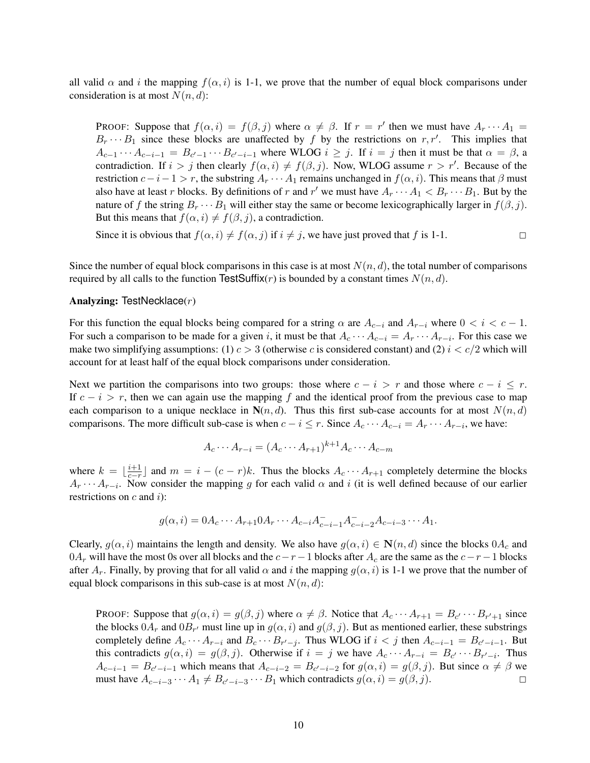all valid  $\alpha$  and i the mapping  $f(\alpha, i)$  is 1-1, we prove that the number of equal block comparisons under consideration is at most  $N(n, d)$ :

**PROOF:** Suppose that  $f(\alpha, i) = f(\beta, j)$  where  $\alpha \neq \beta$ . If  $r = r'$  then we must have  $A_r \cdots A_1 =$  $B_r \cdots B_1$  since these blocks are unaffected by f by the restrictions on r, r'. This implies that  $A_{c-1}\cdots A_{c-i-1} = B_{c'-1}\cdots B_{c'-i-1}$  where WLOG  $i \geq j$ . If  $i = j$  then it must be that  $\alpha = \beta$ , a contradiction. If  $i > j$  then clearly  $f(\alpha, i) \neq f(\beta, j)$ . Now, WLOG assume  $r > r'$ . Because of the restriction  $c-i-1 > r$ , the substring  $A_r \cdots A_1$  remains unchanged in  $f(\alpha, i)$ . This means that  $\beta$  must also have at least r blocks. By definitions of r and r' we must have  $A_r \cdots A_1 < B_r \cdots B_1$ . But by the nature of f the string  $B_r \cdots B_1$  will either stay the same or become lexicographically larger in  $f(\beta, j)$ . But this means that  $f(\alpha, i) \neq f(\beta, j)$ , a contradiction.

Since it is obvious that  $f(\alpha, i) \neq f(\alpha, j)$  if  $i \neq j$ , we have just proved that f is 1-1.

Since the number of equal block comparisons in this case is at most  $N(n, d)$ , the total number of comparisons required by all calls to the function TestSuffix(r) is bounded by a constant times  $N(n, d)$ .

#### Analyzing: TestNecklace(r)

For this function the equal blocks being compared for a string  $\alpha$  are  $A_{c-i}$  and  $A_{r-i}$  where  $0 < i < c-1$ . For such a comparison to be made for a given i, it must be that  $A_c \cdots A_{c-i} = A_r \cdots A_{r-i}$ . For this case we make two simplifying assumptions: (1)  $c > 3$  (otherwise c is considered constant) and (2)  $i < c/2$  which will account for at least half of the equal block comparisons under consideration.

Next we partition the comparisons into two groups: those where  $c - i > r$  and those where  $c - i \leq r$ . If  $c - i > r$ , then we can again use the mapping f and the identical proof from the previous case to map each comparison to a unique necklace in  $N(n, d)$ . Thus this first sub-case accounts for at most  $N(n, d)$ comparisons. The more difficult sub-case is when  $c - i \leq r$ . Since  $A_c \cdots A_{c-i} = A_r \cdots A_{r-i}$ , we have:

$$
A_c \cdots A_{r-i} = (A_c \cdots A_{r+1})^{k+1} A_c \cdots A_{c-m}
$$

where  $k = \lfloor \frac{i+1}{c-r} \rfloor$  and  $m = i - (c - r)k$ . Thus the blocks  $A_c \cdots A_{r+1}$  completely determine the blocks  $A_r \cdots A_{r-i}$ . Now consider the mapping g for each valid  $\alpha$  and i (it is well defined because of our earlier restrictions on  $c$  and  $i$ ):

$$
g(\alpha, i) = 0 A_c \cdots A_{r+1} 0 A_r \cdots A_{c-i} A_{c-i-1}^{-} A_{c-i-2}^{-} A_{c-i-3} \cdots A_1.
$$

Clearly,  $g(\alpha, i)$  maintains the length and density. We also have  $g(\alpha, i) \in \mathbb{N}(n, d)$  since the blocks  $0A_c$  and  $0A_r$  will have the most 0s over all blocks and the  $c-r-1$  blocks after  $A_c$  are the same as the  $c-r-1$  blocks after  $A_r$ . Finally, by proving that for all valid  $\alpha$  and i the mapping  $g(\alpha, i)$  is 1-1 we prove that the number of equal block comparisons in this sub-case is at most  $N(n, d)$ :

PROOF: Suppose that  $g(\alpha, i) = g(\beta, j)$  where  $\alpha \neq \beta$ . Notice that  $A_c \cdots A_{r+1} = B_{c'} \cdots B_{r'+1}$  since the blocks  $0A_r$  and  $0B_{r'}$  must line up in  $g(\alpha, i)$  and  $g(\beta, j)$ . But as mentioned earlier, these substrings completely define  $A_c \cdots A_{r-i}$  and  $B_c \cdots B_{r'-j}$ . Thus WLOG if  $i < j$  then  $A_{c-i-1} = B_{c'-i-1}$ . But this contradicts  $g(\alpha, i) = g(\beta, j)$ . Otherwise if  $i = j$  we have  $A_c \cdots A_{r-i} = B_{c'} \cdots B_{r'-i}$ . Thus  $A_{c-i-1} = B_{c'-i-1}$  which means that  $A_{c-i-2} = B_{c'-i-2}$  for  $g(\alpha, i) = g(\beta, j)$ . But since  $\alpha \neq \beta$  we must have  $A_{c-i-3} \cdots A_1 \neq B_{c'-i-3} \cdots B_1$  which contradicts  $g(\alpha, i) = g(\beta, j)$ . □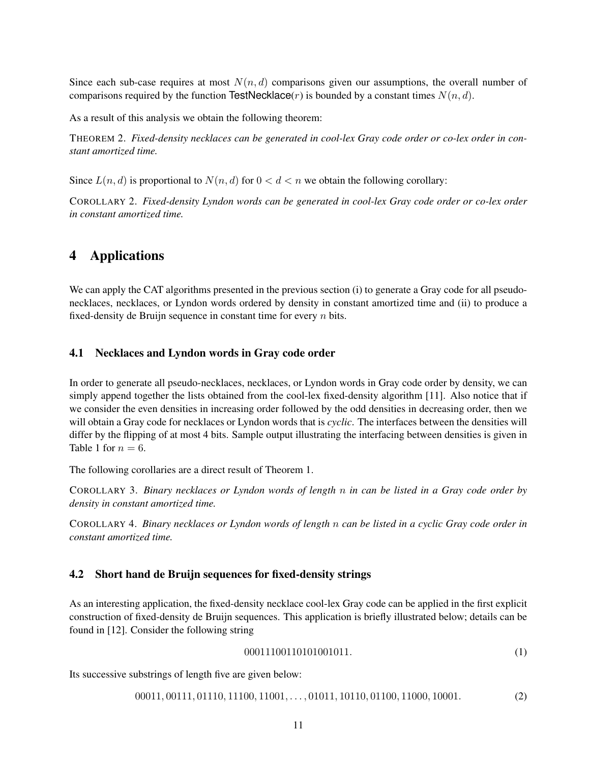Since each sub-case requires at most  $N(n, d)$  comparisons given our assumptions, the overall number of comparisons required by the function TestNecklace(*r*) is bounded by a constant times  $N(n, d)$ .

As a result of this analysis we obtain the following theorem:

THEOREM 2. *Fixed-density necklaces can be generated in cool-lex Gray code order or co-lex order in constant amortized time.*

Since  $L(n, d)$  is proportional to  $N(n, d)$  for  $0 < d < n$  we obtain the following corollary:

COROLLARY 2. *Fixed-density Lyndon words can be generated in cool-lex Gray code order or co-lex order in constant amortized time.*

## 4 Applications

We can apply the CAT algorithms presented in the previous section (i) to generate a Gray code for all pseudonecklaces, necklaces, or Lyndon words ordered by density in constant amortized time and (ii) to produce a fixed-density de Bruijn sequence in constant time for every  $n$  bits.

#### 4.1 Necklaces and Lyndon words in Gray code order

In order to generate all pseudo-necklaces, necklaces, or Lyndon words in Gray code order by density, we can simply append together the lists obtained from the cool-lex fixed-density algorithm [11]. Also notice that if we consider the even densities in increasing order followed by the odd densities in decreasing order, then we will obtain a Gray code for necklaces or Lyndon words that is *cyclic*. The interfaces between the densities will differ by the flipping of at most 4 bits. Sample output illustrating the interfacing between densities is given in Table 1 for  $n = 6$ .

The following corollaries are a direct result of Theorem 1.

COROLLARY 3. *Binary necklaces or Lyndon words of length* n *in can be listed in a Gray code order by density in constant amortized time.*

COROLLARY 4. *Binary necklaces or Lyndon words of length* n *can be listed in a cyclic Gray code order in constant amortized time.*

### 4.2 Short hand de Bruijn sequences for fixed-density strings

As an interesting application, the fixed-density necklace cool-lex Gray code can be applied in the first explicit construction of fixed-density de Bruijn sequences. This application is briefly illustrated below; details can be found in [12]. Consider the following string

$$
00011100110101001011.\t(1)
$$

Its successive substrings of length five are given below:

00011, 00111, 01110, 11100, 11001, . . . , 01011, 10110, 01100, 11000, 10001. (2)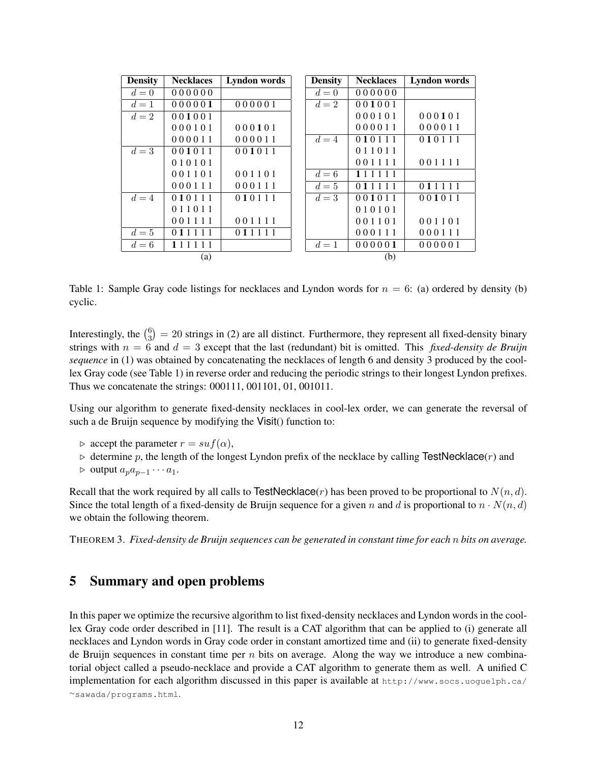| <b>Density</b> | <b>Necklaces</b> | Lyndon words | <b>Density</b> | <b>Necklaces</b> | Lyndon words |
|----------------|------------------|--------------|----------------|------------------|--------------|
| $d=0$          | 000000           |              | $d=0$          | 000000           |              |
| $d=1$          | 000001           | 000001       | $d=2$          | 001001           |              |
| $d=2$          | 001001           |              |                | 000101           | 000101       |
|                | 000101           | 000101       |                | 000011           | 000011       |
|                | 000011           | 000011       | $d=4$          | 010111           | 010111       |
| $d=3$          | 001011           | 001011       |                | 011011           |              |
|                | 010101           |              |                | 001111           | 001111       |
|                | 001101           | 001101       | $d=6$          | 111111           |              |
|                | 000111           | 000111       | $d=5$          | 011111           | 011111       |
| $d=4$          | 010111           | 010111       | $d=3$          | 001011           | 001011       |
|                | 011011           |              |                | 010101           |              |
|                | 001111           | 001111       |                | 001101           | 001101       |
| $d=5$          | 011111           | 011111       |                | 000111           | 000111       |
| $d=6$          | 111111           |              | $d=1$          | 000001           | 000001       |
|                | (a)              |              |                | (b)              |              |

Table 1: Sample Gray code listings for necklaces and Lyndon words for  $n = 6$ : (a) ordered by density (b) cyclic.

Interestingly, the  $\binom{6}{3}$  $S<sub>3</sub>$  = 20 strings in (2) are all distinct. Furthermore, they represent all fixed-density binary strings with  $n = 6$  and  $d = 3$  except that the last (redundant) bit is omitted. This *fixed-density de Bruijn sequence* in (1) was obtained by concatenating the necklaces of length 6 and density 3 produced by the coollex Gray code (see Table 1) in reverse order and reducing the periodic strings to their longest Lyndon prefixes. Thus we concatenate the strings: 000111, 001101, 01, 001011.

Using our algorithm to generate fixed-density necklaces in cool-lex order, we can generate the reversal of such a de Bruijn sequence by modifying the Visit() function to:

- $\triangleright$  accept the parameter  $r = su f(\alpha)$ ,
- $\triangleright$  determine p, the length of the longest Lyndon prefix of the necklace by calling TestNecklace(r) and
- $\rhd$  output  $a_p a_{p-1} \cdots a_1$ .

Recall that the work required by all calls to TestNecklace(r) has been proved to be proportional to  $N(n, d)$ . Since the total length of a fixed-density de Bruijn sequence for a given n and d is proportional to  $n \cdot N(n, d)$ we obtain the following theorem.

THEOREM 3. *Fixed-density de Bruijn sequences can be generated in constant time for each* n *bits on average.*

## 5 Summary and open problems

In this paper we optimize the recursive algorithm to list fixed-density necklaces and Lyndon words in the coollex Gray code order described in [11]. The result is a CAT algorithm that can be applied to (i) generate all necklaces and Lyndon words in Gray code order in constant amortized time and (ii) to generate fixed-density de Bruijn sequences in constant time per  $n$  bits on average. Along the way we introduce a new combinatorial object called a pseudo-necklace and provide a CAT algorithm to generate them as well. A unified C implementation for each algorithm discussed in this paper is available at http://www.socs.uoguelph.ca/ <sup>∼</sup>sawada/programs.html.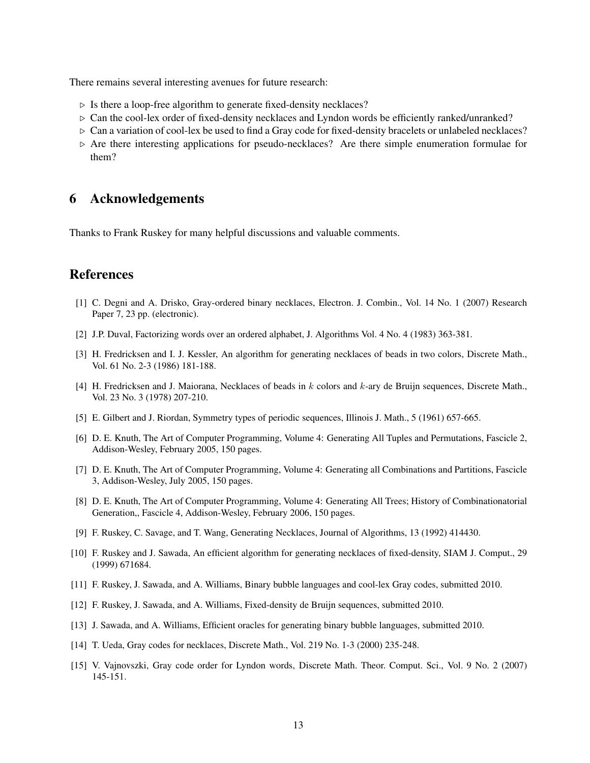There remains several interesting avenues for future research:

- $\triangleright$  Is there a loop-free algorithm to generate fixed-density necklaces?
- $\triangleright$  Can the cool-lex order of fixed-density necklaces and Lyndon words be efficiently ranked/unranked?
- $\triangleright$  Can a variation of cool-lex be used to find a Gray code for fixed-density bracelets or unlabeled necklaces?
- $\triangleright$  Are there interesting applications for pseudo-necklaces? Are there simple enumeration formulae for them?

### 6 Acknowledgements

Thanks to Frank Ruskey for many helpful discussions and valuable comments.

## References

- [1] C. Degni and A. Drisko, Gray-ordered binary necklaces, Electron. J. Combin., Vol. 14 No. 1 (2007) Research Paper 7, 23 pp. (electronic).
- [2] J.P. Duval, Factorizing words over an ordered alphabet, J. Algorithms Vol. 4 No. 4 (1983) 363-381.
- [3] H. Fredricksen and I. J. Kessler, An algorithm for generating necklaces of beads in two colors, Discrete Math., Vol. 61 No. 2-3 (1986) 181-188.
- [4] H. Fredricksen and J. Maiorana, Necklaces of beads in  $k$  colors and  $k$ -ary de Bruijn sequences, Discrete Math., Vol. 23 No. 3 (1978) 207-210.
- [5] E. Gilbert and J. Riordan, Symmetry types of periodic sequences, Illinois J. Math., 5 (1961) 657-665.
- [6] D. E. Knuth, The Art of Computer Programming, Volume 4: Generating All Tuples and Permutations, Fascicle 2, Addison-Wesley, February 2005, 150 pages.
- [7] D. E. Knuth, The Art of Computer Programming, Volume 4: Generating all Combinations and Partitions, Fascicle 3, Addison-Wesley, July 2005, 150 pages.
- [8] D. E. Knuth, The Art of Computer Programming, Volume 4: Generating All Trees; History of Combinationatorial Generation,, Fascicle 4, Addison-Wesley, February 2006, 150 pages.
- [9] F. Ruskey, C. Savage, and T. Wang, Generating Necklaces, Journal of Algorithms, 13 (1992) 414430.
- [10] F. Ruskey and J. Sawada, An efficient algorithm for generating necklaces of fixed-density, SIAM J. Comput., 29 (1999) 671684.
- [11] F. Ruskey, J. Sawada, and A. Williams, Binary bubble languages and cool-lex Gray codes, submitted 2010.
- [12] F. Ruskey, J. Sawada, and A. Williams, Fixed-density de Bruijn sequences, submitted 2010.
- [13] J. Sawada, and A. Williams, Efficient oracles for generating binary bubble languages, submitted 2010.
- [14] T. Ueda, Gray codes for necklaces, Discrete Math., Vol. 219 No. 1-3 (2000) 235-248.
- [15] V. Vajnovszki, Gray code order for Lyndon words, Discrete Math. Theor. Comput. Sci., Vol. 9 No. 2 (2007) 145-151.